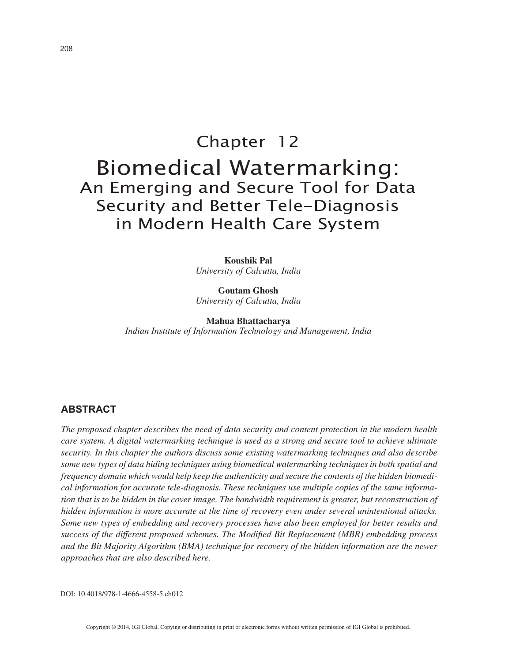# Chapter 12 Biomedical Watermarking: An Emerging and Secure Tool for Data Security and Better Tele-Diagnosis in Modern Health Care System

**Koushik Pal** *University of Calcutta, India*

**Goutam Ghosh** *University of Calcutta, India*

**Mahua Bhattacharya** *Indian Institute of Information Technology and Management, India*

# **ABSTRACT**

*The proposed chapter describes the need of data security and content protection in the modern health care system. A digital watermarking technique is used as a strong and secure tool to achieve ultimate security. In this chapter the authors discuss some existing watermarking techniques and also describe some new types of data hiding techniques using biomedical watermarking techniques in both spatial and frequency domain which would help keep the authenticity and secure the contents of the hidden biomedical information for accurate tele-diagnosis. These techniques use multiple copies of the same information that is to be hidden in the cover image. The bandwidth requirement is greater, but reconstruction of hidden information is more accurate at the time of recovery even under several unintentional attacks. Some new types of embedding and recovery processes have also been employed for better results and success of the different proposed schemes. The Modified Bit Replacement (MBR) embedding process and the Bit Majority Algorithm (BMA) technique for recovery of the hidden information are the newer approaches that are also described here.*

DOI: 10.4018/978-1-4666-4558-5.ch012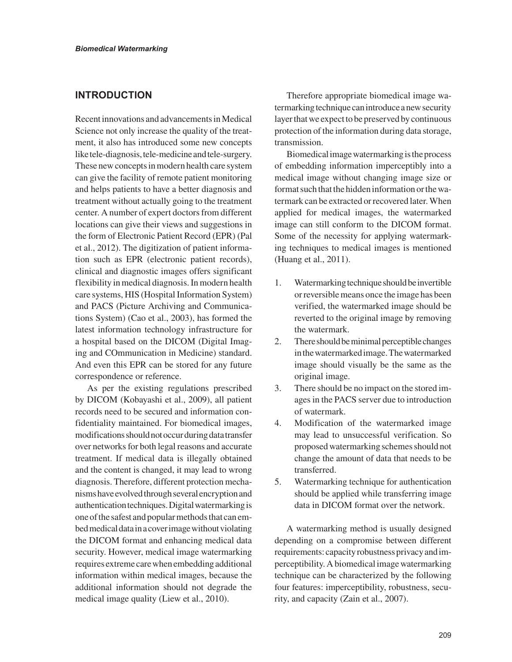## **INTRODUCTION**

Recent innovations and advancements in Medical Science not only increase the quality of the treatment, it also has introduced some new concepts like tele-diagnosis, tele-medicine and tele-surgery. These new concepts in modern health care system can give the facility of remote patient monitoring and helps patients to have a better diagnosis and treatment without actually going to the treatment center. A number of expert doctors from different locations can give their views and suggestions in the form of Electronic Patient Record (EPR) (Pal et al., 2012). The digitization of patient information such as EPR (electronic patient records), clinical and diagnostic images offers significant flexibility in medical diagnosis. In modern health care systems, HIS (Hospital Information System) and PACS (Picture Archiving and Communications System) (Cao et al., 2003), has formed the latest information technology infrastructure for a hospital based on the DICOM (Digital Imaging and COmmunication in Medicine) standard. And even this EPR can be stored for any future correspondence or reference.

As per the existing regulations prescribed by DICOM (Kobayashi et al., 2009), all patient records need to be secured and information confidentiality maintained. For biomedical images, modifications should not occur during data transfer over networks for both legal reasons and accurate treatment. If medical data is illegally obtained and the content is changed, it may lead to wrong diagnosis. Therefore, different protection mechanisms have evolved through several encryption and authentication techniques. Digital watermarking is one of the safest and popular methods that can embed medical data in a cover image without violating the DICOM format and enhancing medical data security. However, medical image watermarking requires extreme care when embedding additional information within medical images, because the additional information should not degrade the medical image quality (Liew et al., 2010).

Therefore appropriate biomedical image watermarking technique can introduce a new security layer that we expect to be preserved by continuous protection of the information during data storage, transmission.

Biomedical image watermarking is the process of embedding information imperceptibly into a medical image without changing image size or format such that the hidden information or the watermark can be extracted or recovered later. When applied for medical images, the watermarked image can still conform to the DICOM format. Some of the necessity for applying watermarking techniques to medical images is mentioned (Huang et al., 2011).

- 1. Watermarking technique should be invertible or reversible means once the image has been verified, the watermarked image should be reverted to the original image by removing the watermark.
- 2. There should be minimal perceptible changes in the watermarked image. The watermarked image should visually be the same as the original image.
- 3. There should be no impact on the stored images in the PACS server due to introduction of watermark.
- 4. Modification of the watermarked image may lead to unsuccessful verification. So proposed watermarking schemes should not change the amount of data that needs to be transferred.
- 5. Watermarking technique for authentication should be applied while transferring image data in DICOM format over the network.

A watermarking method is usually designed depending on a compromise between different requirements: capacity robustness privacy and imperceptibility. A biomedical image watermarking technique can be characterized by the following four features: imperceptibility, robustness, security, and capacity (Zain et al., 2007).